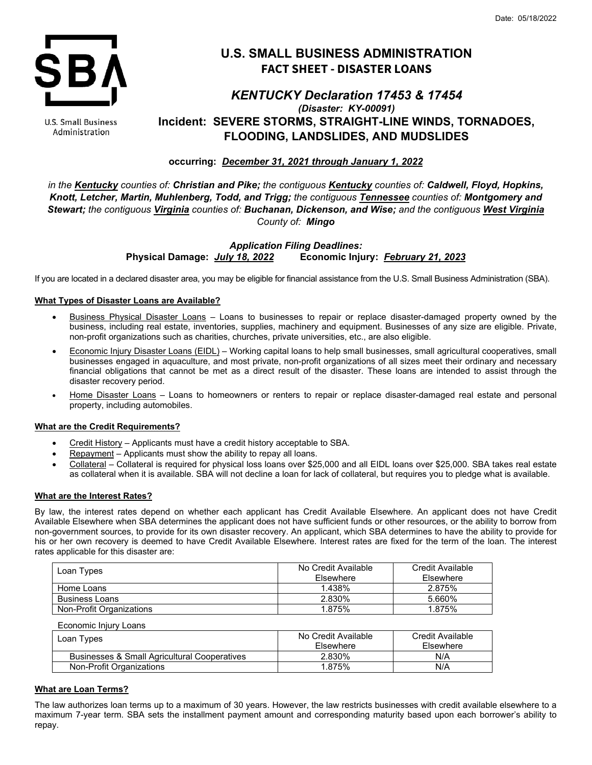

#### U.S. Small Business Administration

# **U.S. SMALL BUSINESS ADMINISTRATION FACT SHEET - DISASTER LOANS**

## *KENTUCKY Declaration 17453 & 17454 (Disaster: KY-00091)* **Incident: SEVERE STORMS, STRAIGHT-LINE WINDS, TORNADOES, FLOODING, LANDSLIDES, AND MUDSLIDES**

**occurring:** *December 31, 2021 through January 1, 2022*

*in the Kentucky counties of: Christian and Pike; the contiguous Kentucky counties of: Caldwell, Floyd, Hopkins, Knott, Letcher, Martin, Muhlenberg, Todd, and Trigg; the contiguous Tennessee counties of: Montgomery and Stewart; the contiguous Virginia counties of: Buchanan, Dickenson, and Wise; and the contiguous West Virginia County of: Mingo*

> *Application Filing Deadlines:* **Physical Damage:** *July 18, 2022* **Economic Injury:** *February 21, 2023*

If you are located in a declared disaster area, you may be eligible for financial assistance from the U.S. Small Business Administration (SBA).

## **What Types of Disaster Loans are Available?**

- Business Physical Disaster Loans Loans to businesses to repair or replace disaster-damaged property owned by the business, including real estate, inventories, supplies, machinery and equipment. Businesses of any size are eligible. Private, non-profit organizations such as charities, churches, private universities, etc., are also eligible.
- Economic Injury Disaster Loans (EIDL) Working capital loans to help small businesses, small agricultural cooperatives, small businesses engaged in aquaculture, and most private, non-profit organizations of all sizes meet their ordinary and necessary financial obligations that cannot be met as a direct result of the disaster. These loans are intended to assist through the disaster recovery period.
- Home Disaster Loans Loans to homeowners or renters to repair or replace disaster-damaged real estate and personal property, including automobiles.

## **What are the Credit Requirements?**

- Credit History Applicants must have a credit history acceptable to SBA.
- Repayment Applicants must show the ability to repay all loans.
- Collateral Collateral is required for physical loss loans over \$25,000 and all EIDL loans over \$25,000. SBA takes real estate as collateral when it is available. SBA will not decline a loan for lack of collateral, but requires you to pledge what is available.

## **What are the Interest Rates?**

By law, the interest rates depend on whether each applicant has Credit Available Elsewhere. An applicant does not have Credit Available Elsewhere when SBA determines the applicant does not have sufficient funds or other resources, or the ability to borrow from non-government sources, to provide for its own disaster recovery. An applicant, which SBA determines to have the ability to provide for his or her own recovery is deemed to have Credit Available Elsewhere. Interest rates are fixed for the term of the loan. The interest rates applicable for this disaster are:

| Loan Types               | No Credit Available<br>Elsewhere | Credit Available<br><b>Fisewhere</b> |
|--------------------------|----------------------------------|--------------------------------------|
| Home Loans               | 1.438%                           | 2.875%                               |
| <b>Business Loans</b>    | 2.830%                           | 5.660%                               |
| Non-Profit Organizations | 1.875%                           | 1.875%                               |

| Economic Iniury Loans                        |                     |                  |
|----------------------------------------------|---------------------|------------------|
| Loan Types                                   | No Credit Available | Credit Available |
|                                              | Elsewhere           | Elsewhere        |
| Businesses & Small Agricultural Cooperatives | 2.830%              | N/A              |
| Non-Profit Organizations                     | 1.875%              | N/A              |

## **What are Loan Terms?**

The law authorizes loan terms up to a maximum of 30 years. However, the law restricts businesses with credit available elsewhere to a maximum 7-year term. SBA sets the installment payment amount and corresponding maturity based upon each borrower's ability to repay.